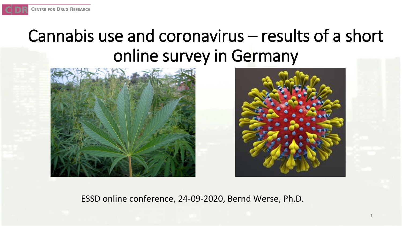# Cannabis use and coronavirus – results of a short online survey in Germany





1

ESSD online conference, 24-09-2020, Bernd Werse, Ph.D.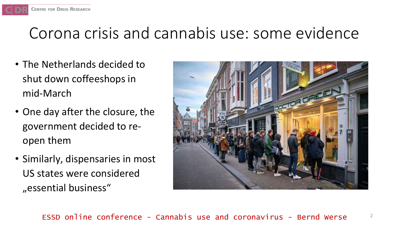# Corona crisis and cannabis use: some evidence

• The Netherlands decided to shut down coffeeshops in mid-March

CENTRE FOR DRUG RESEARCH

- One day after the closure, the government decided to reopen them
- Similarly, dispensaries in most US states were considered "essential business"

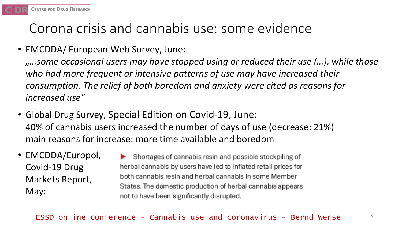

## Corona crisis and cannabis use: some evidence

• EMCDDA/ European Web Survey, June:

*"…some occasional users may have stopped using or reduced their use (…), while those who had more frequent or intensive patterns of use may have increased their consumption. The relief of both boredom and anxiety were cited as reasons for increased use"*

- Global Drug Survey, Special Edition on Covid-19, June: 40% of cannabis users increased the number of days of use (decrease: 21%) main reasons for increase: more time available and boredom
- EMCDDA/Europol, Covid-19 Drug Markets Report, May:

Shortages of cannabis resin and possible stockpiling of herbal cannabis by users have led to inflated retail prices for both cannabis resin and herbal cannabis in some Member States. The domestic production of herbal cannabis appears not to have been significantly disrupted.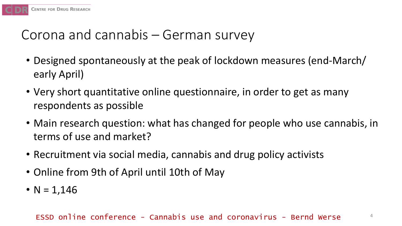

## Corona and cannabis – German survey

- Designed spontaneously at the peak of lockdown measures (end-March/ early April)
- Very short quantitative online questionnaire, in order to get as many respondents as possible
- Main research question: what has changed for people who use cannabis, in terms of use and market?
- Recruitment via social media, cannabis and drug policy activists
- Online from 9th of April until 10th of May
- $N = 1,146$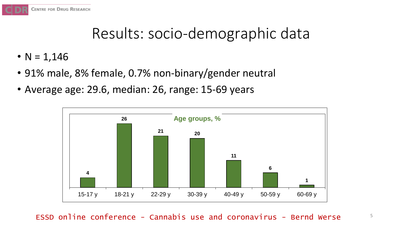

# Results: socio-demographic data

- $N = 1,146$
- 91% male, 8% female, 0.7% non-binary/gender neutral
- Average age: 29.6, median: 26, range: 15-69 years

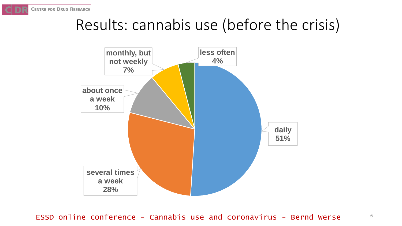# Results: cannabis use (before the crisis)

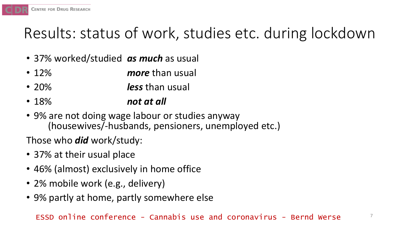# Results: status of work, studies etc. during lockdown

- 37% worked/studied *as much* as usual
- 12% *more* than usual
- 20% *less* than usual
- 18% *not at all*
- 9% are not doing wage labour or studies anyway (housewives/-husbands, pensioners, unemployed etc.)

Those who *did* work/study:

• 37% at their usual place

**CENTRE FOR DRUG RESEARCH** 

- 46% (almost) exclusively in home office
- 2% mobile work (e.g., delivery)
- 9% partly at home, partly somewhere else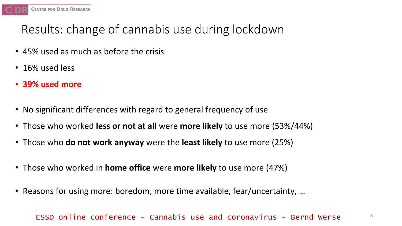

## Results: change of cannabis use during lockdown

- 45% used as much as before the crisis
- 16% used less
- **39% used more**
- No significant differences with regard to general frequency of use
- Those who worked **less or not at all** were **more likely** to use more (53%/44%)
- Those who **do not work anyway** were the **least likely** to use more (25%)
- Those who worked in **home office** were **more likely** to use more (47%)
- Reasons for using more: boredom, more time available, fear/uncertainty, …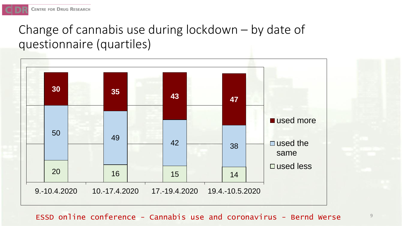## Change of cannabis use during lockdown – by date of questionnaire (quartiles)



ESSD online conference - Cannabis use and coronavirus - Bernd Werse  $\overline{\phantom{a}}^{\mathcal{G}}$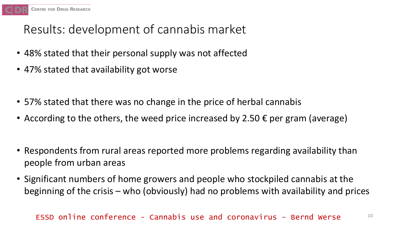

## Results: development of cannabis market

- 48% stated that their personal supply was not affected
- 47% stated that availability got worse
- 57% stated that there was no change in the price of herbal cannabis
- According to the others, the weed price increased by 2.50  $\epsilon$  per gram (average)
- Respondents from rural areas reported more problems regarding availability than people from urban areas
- Significant numbers of home growers and people who stockpiled cannabis at the beginning of the crisis – who (obviously) had no problems with availability and prices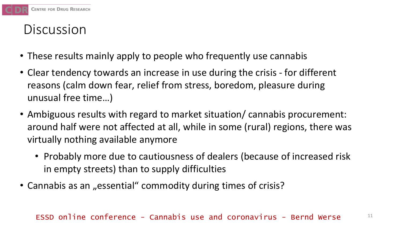

## Discussion

- These results mainly apply to people who frequently use cannabis
- Clear tendency towards an increase in use during the crisis for different reasons (calm down fear, relief from stress, boredom, pleasure during unusual free time…)
- Ambiguous results with regard to market situation/ cannabis procurement: around half were not affected at all, while in some (rural) regions, there was virtually nothing available anymore
	- Probably more due to cautiousness of dealers (because of increased risk in empty streets) than to supply difficulties
- Cannabis as an "essential" commodity during times of crisis?